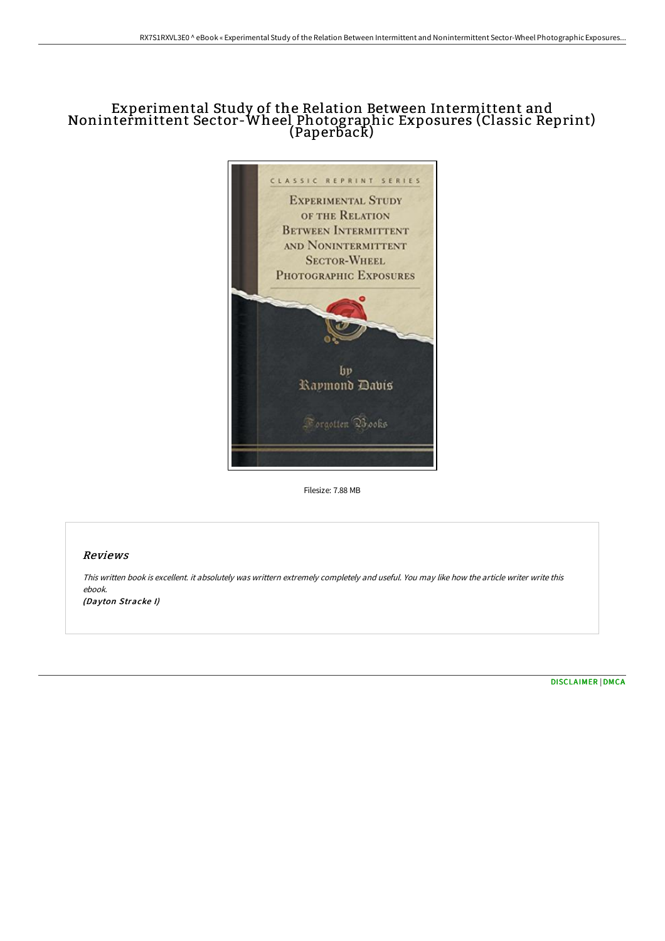## Experimental Study of the Relation Between Intermittent and Nonintermittent Sector-Wheel Photographic Exposures (Classic Reprint) (Paperback)



Filesize: 7.88 MB

## Reviews

This written book is excellent. it absolutely was writtern extremely completely and useful. You may like how the article writer write this ebook. (Dayton Stracke I)

[DISCLAIMER](http://albedo.media/disclaimer.html) | [DMCA](http://albedo.media/dmca.html)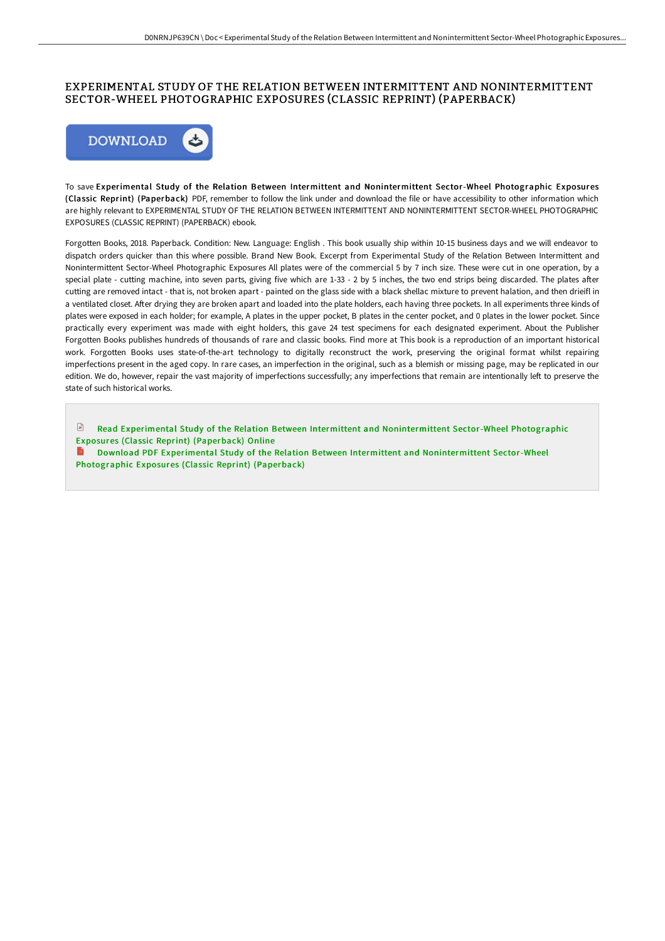## EXPERIMENTAL STUDY OF THE RELATION BETWEEN INTERMITTENT AND NONINTERMITTENT SECTOR-WHEEL PHOTOGRAPHIC EXPOSURES (CLASSIC REPRINT) (PAPERBACK)



To save Experimental Study of the Relation Between Intermittent and Nonintermittent Sector-Wheel Photographic Exposures (Classic Reprint) (Paperback) PDF, remember to follow the link under and download the file or have accessibility to other information which are highly relevant to EXPERIMENTAL STUDY OF THE RELATION BETWEEN INTERMITTENT AND NONINTERMITTENT SECTOR-WHEEL PHOTOGRAPHIC EXPOSURES (CLASSIC REPRINT) (PAPERBACK) ebook.

Forgotten Books, 2018. Paperback. Condition: New. Language: English . This book usually ship within 10-15 business days and we will endeavor to dispatch orders quicker than this where possible. Brand New Book. Excerpt from Experimental Study of the Relation Between Intermittent and Nonintermittent Sector-Wheel Photographic Exposures All plates were of the commercial 5 by 7 inch size. These were cut in one operation, by a special plate - cutting machine, into seven parts, giving five which are 1-33 - 2 by 5 inches, the two end strips being discarded. The plates after cutting are removed intact - that is, not broken apart - painted on the glass side with a black shellac mixture to prevent halation, and then drieifl in a ventilated closet. After drying they are broken apart and loaded into the plate holders, each having three pockets. In all experiments three kinds of plates were exposed in each holder; for example, A plates in the upper pocket, B plates in the center pocket, and 0 plates in the lower pocket. Since practically every experiment was made with eight holders, this gave 24 test specimens for each designated experiment. About the Publisher Forgotten Books publishes hundreds of thousands of rare and classic books. Find more at This book is a reproduction of an important historical work. Forgotten Books uses state-of-the-art technology to digitally reconstruct the work, preserving the original format whilst repairing imperfections present in the aged copy. In rare cases, an imperfection in the original, such as a blemish or missing page, may be replicated in our edition. We do, however, repair the vast majority of imperfections successfully; any imperfections that remain are intentionally left to preserve the state of such historical works.

Read Experimental Study of the Relation Between Intermittent and [Nonintermittent](http://albedo.media/experimental-study-of-the-relation-between-inter.html) Sector-Wheel Photographic Exposures (Classic Reprint) (Paperback) Online **Download PDF Experimental Study of the Relation Between Intermittent and [Nonintermittent](http://albedo.media/experimental-study-of-the-relation-between-inter.html) Sector-Wheel** 

Photographic Exposures (Classic Reprint) (Paperback)